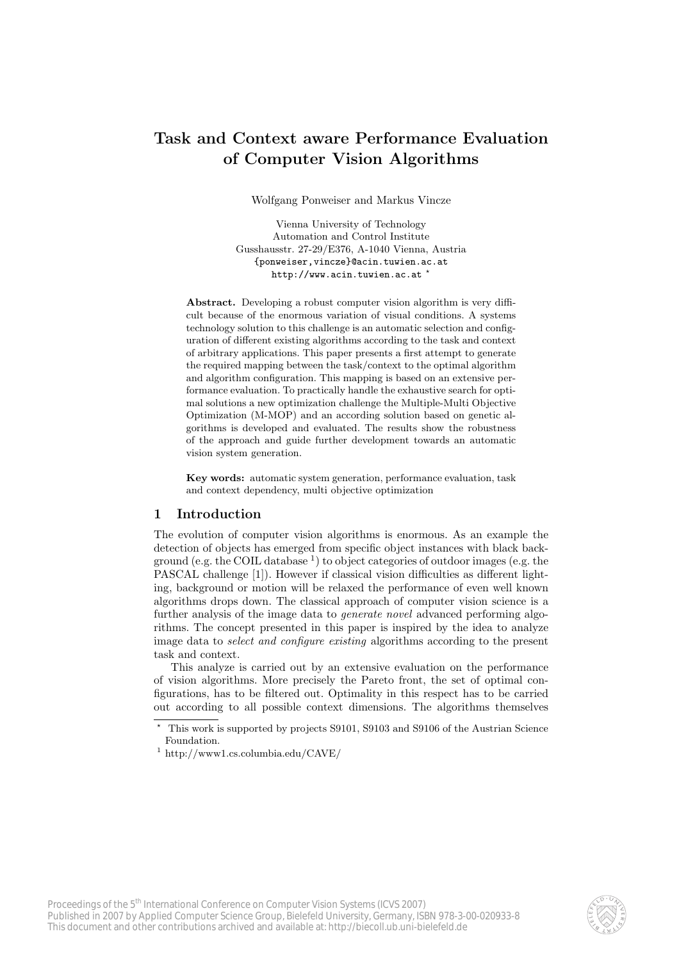# Task and Context aware Performance Evaluation of Computer Vision Algorithms

Wolfgang Ponweiser and Markus Vincze

Vienna University of Technology Automation and Control Institute Gusshausstr. 27-29/E376, A-1040 Vienna, Austria {ponweiser,vincze}@acin.tuwien.ac.at http://www.acin.tuwien.ac.at<sup>\*</sup>

Abstract. Developing a robust computer vision algorithm is very difficult because of the enormous variation of visual conditions. A systems technology solution to this challenge is an automatic selection and configuration of different existing algorithms according to the task and context of arbitrary applications. This paper presents a first attempt to generate the required mapping between the task/context to the optimal algorithm and algorithm configuration. This mapping is based on an extensive performance evaluation. To practically handle the exhaustive search for optimal solutions a new optimization challenge the Multiple-Multi Objective Optimization (M-MOP) and an according solution based on genetic algorithms is developed and evaluated. The results show the robustness of the approach and guide further development towards an automatic vision system generation.

Key words: automatic system generation, performance evaluation, task and context dependency, multi objective optimization

## 1 Introduction

The evolution of computer vision algorithms is enormous. As an example the detection of objects has emerged from specific object instances with black background (e.g. the COIL database<sup>1</sup>) to object categories of outdoor images (e.g. the PASCAL challenge [1]). However if classical vision difficulties as different lighting, background or motion will be relaxed the performance of even well known algorithms drops down. The classical approach of computer vision science is a further analysis of the image data to *generate novel* advanced performing algorithms. The concept presented in this paper is inspired by the idea to analyze image data to select and configure existing algorithms according to the present task and context.

This analyze is carried out by an extensive evaluation on the performance of vision algorithms. More precisely the Pareto front, the set of optimal configurations, has to be filtered out. Optimality in this respect has to be carried out according to all possible context dimensions. The algorithms themselves



<sup>?</sup> This work is supported by projects S9101, S9103 and S9106 of the Austrian Science Foundation.

<sup>1</sup> http://www1.cs.columbia.edu/CAVE/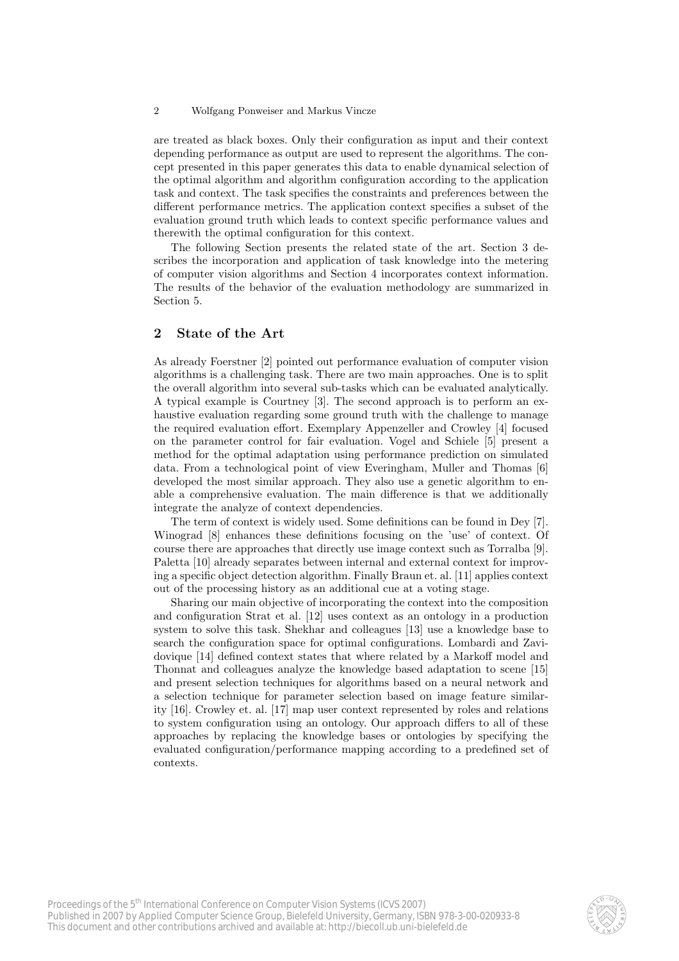#### 2 Wolfgang Ponweiser and Markus Vincze

are treated as black boxes. Only their configuration as input and their context depending performance as output are used to represent the algorithms. The concept presented in this paper generates this data to enable dynamical selection of the optimal algorithm and algorithm configuration according to the application task and context. The task specifies the constraints and preferences between the different performance metrics. The application context specifies a subset of the evaluation ground truth which leads to context specific performance values and therewith the optimal configuration for this context.

The following Section presents the related state of the art. Section 3 describes the incorporation and application of task knowledge into the metering of computer vision algorithms and Section 4 incorporates context information. The results of the behavior of the evaluation methodology are summarized in Section 5.

# 2 State of the Art

As already Foerstner [2] pointed out performance evaluation of computer vision algorithms is a challenging task. There are two main approaches. One is to split the overall algorithm into several sub-tasks which can be evaluated analytically. A typical example is Courtney [3]. The second approach is to perform an exhaustive evaluation regarding some ground truth with the challenge to manage the required evaluation effort. Exemplary Appenzeller and Crowley [4] focused on the parameter control for fair evaluation. Vogel and Schiele [5] present a method for the optimal adaptation using performance prediction on simulated data. From a technological point of view Everingham, Muller and Thomas [6] developed the most similar approach. They also use a genetic algorithm to enable a comprehensive evaluation. The main difference is that we additionally integrate the analyze of context dependencies.

The term of context is widely used. Some definitions can be found in Dey [7]. Winograd [8] enhances these definitions focusing on the 'use' of context. Of course there are approaches that directly use image context such as Torralba [9]. Paletta [10] already separates between internal and external context for improving a specific object detection algorithm. Finally Braun et. al. [11] applies context out of the processing history as an additional cue at a voting stage.

Sharing our main objective of incorporating the context into the composition and configuration Strat et al. [12] uses context as an ontology in a production system to solve this task. Shekhar and colleagues [13] use a knowledge base to search the configuration space for optimal configurations. Lombardi and Zavidovique [14] defined context states that where related by a Markoff model and Thonnat and colleagues analyze the knowledge based adaptation to scene [15] and present selection techniques for algorithms based on a neural network and a selection technique for parameter selection based on image feature similarity [16]. Crowley et. al. [17] map user context represented by roles and relations to system configuration using an ontology. Our approach differs to all of these approaches by replacing the knowledge bases or ontologies by specifying the evaluated configuration/performance mapping according to a predefined set of contexts.

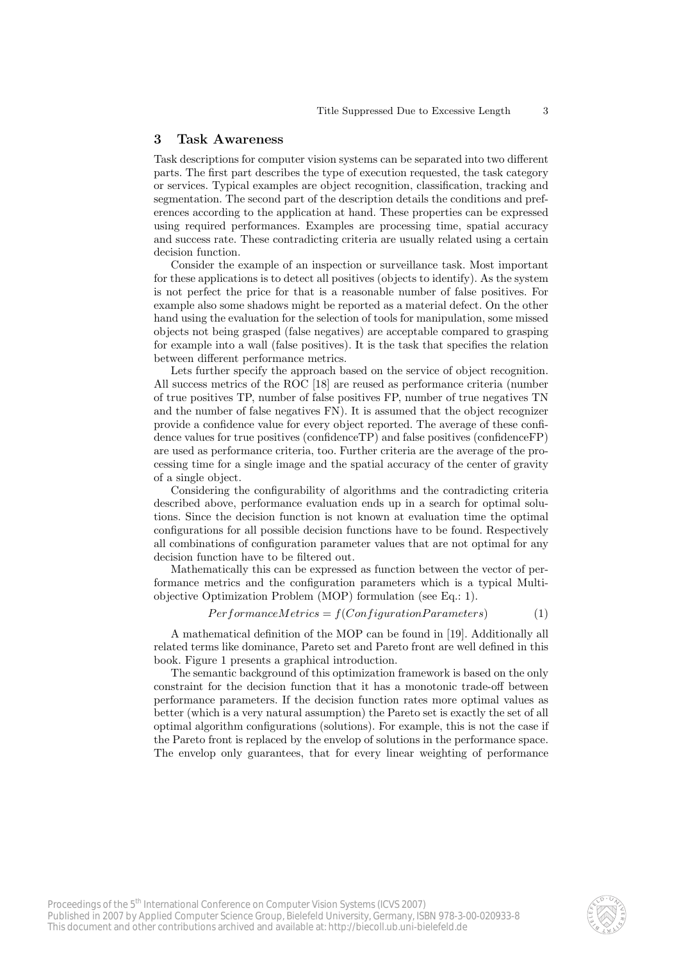## 3 Task Awareness

Task descriptions for computer vision systems can be separated into two different parts. The first part describes the type of execution requested, the task category or services. Typical examples are object recognition, classification, tracking and segmentation. The second part of the description details the conditions and preferences according to the application at hand. These properties can be expressed using required performances. Examples are processing time, spatial accuracy and success rate. These contradicting criteria are usually related using a certain decision function.

Consider the example of an inspection or surveillance task. Most important for these applications is to detect all positives (objects to identify). As the system is not perfect the price for that is a reasonable number of false positives. For example also some shadows might be reported as a material defect. On the other hand using the evaluation for the selection of tools for manipulation, some missed objects not being grasped (false negatives) are acceptable compared to grasping for example into a wall (false positives). It is the task that specifies the relation between different performance metrics.

Lets further specify the approach based on the service of object recognition. All success metrics of the ROC [18] are reused as performance criteria (number of true positives TP, number of false positives FP, number of true negatives TN and the number of false negatives FN). It is assumed that the object recognizer provide a confidence value for every object reported. The average of these confidence values for true positives (confidenceTP) and false positives (confidenceFP) are used as performance criteria, too. Further criteria are the average of the processing time for a single image and the spatial accuracy of the center of gravity of a single object.

Considering the configurability of algorithms and the contradicting criteria described above, performance evaluation ends up in a search for optimal solutions. Since the decision function is not known at evaluation time the optimal configurations for all possible decision functions have to be found. Respectively all combinations of configuration parameter values that are not optimal for any decision function have to be filtered out.

Mathematically this can be expressed as function between the vector of performance metrics and the configuration parameters which is a typical Multiobjective Optimization Problem (MOP) formulation (see Eq.: 1).

$$
PerformanceMetrics = f(ConfigurationParameters)
$$
 (1)

A mathematical definition of the MOP can be found in [19]. Additionally all related terms like dominance, Pareto set and Pareto front are well defined in this book. Figure 1 presents a graphical introduction.

The semantic background of this optimization framework is based on the only constraint for the decision function that it has a monotonic trade-off between performance parameters. If the decision function rates more optimal values as better (which is a very natural assumption) the Pareto set is exactly the set of all optimal algorithm configurations (solutions). For example, this is not the case if the Pareto front is replaced by the envelop of solutions in the performance space. The envelop only guarantees, that for every linear weighting of performance

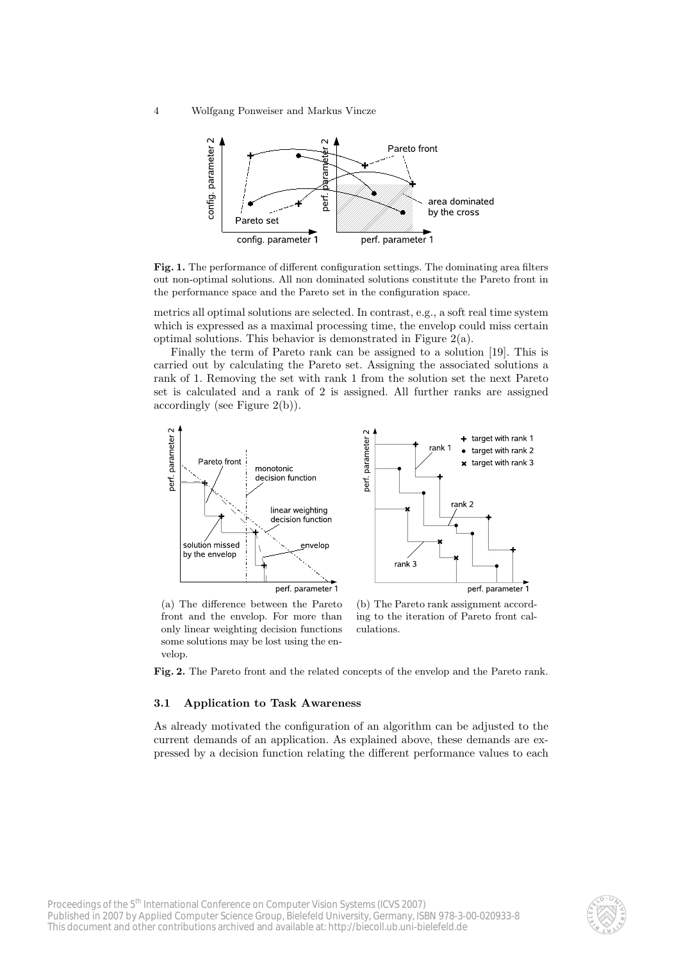4 Wolfgang Ponweiser and Markus Vincze



Fig. 1. The performance of different configuration settings. The dominating area filters out non-optimal solutions. All non dominated solutions constitute the Pareto front in the performance space and the Pareto set in the configuration space.

metrics all optimal solutions are selected. In contrast, e.g., a soft real time system which is expressed as a maximal processing time, the envelop could miss certain optimal solutions. This behavior is demonstrated in Figure 2(a).

Finally the term of Pareto rank can be assigned to a solution [19]. This is carried out by calculating the Pareto set. Assigning the associated solutions a rank of 1. Removing the set with rank 1 from the solution set the next Pareto set is calculated and a rank of 2 is assigned. All further ranks are assigned accordingly (see Figure 2(b)).



(a) The difference between the Pareto front and the envelop. For more than only linear weighting decision functions some solutions may be lost using the envelop.

(b) The Pareto rank assignment according to the iteration of Pareto front calculations.

Fig. 2. The Pareto front and the related concepts of the envelop and the Pareto rank.

#### 3.1 Application to Task Awareness

As already motivated the configuration of an algorithm can be adjusted to the current demands of an application. As explained above, these demands are expressed by a decision function relating the different performance values to each

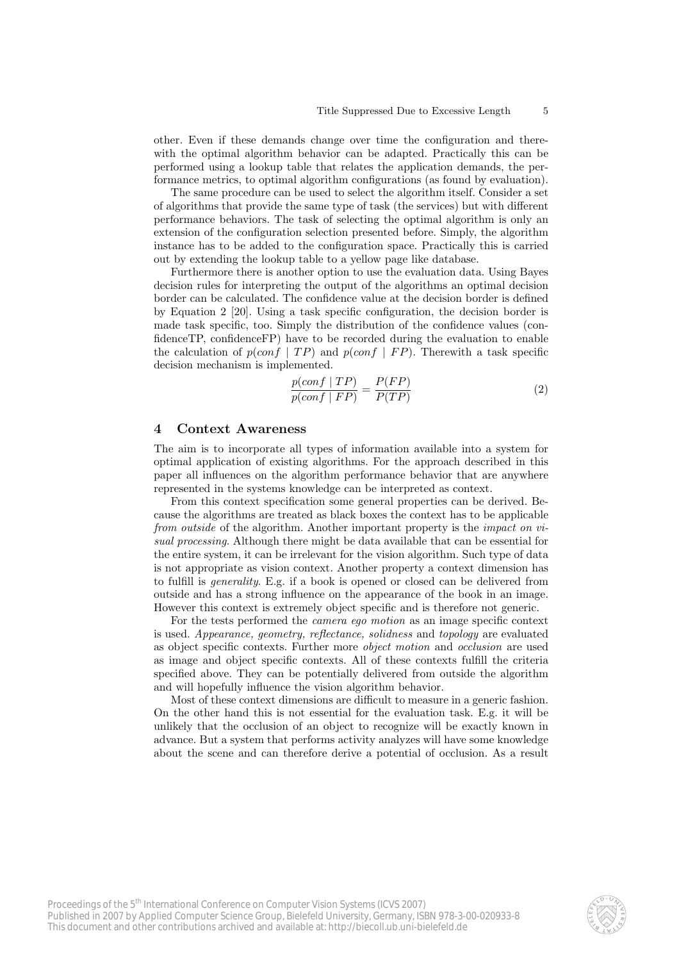other. Even if these demands change over time the configuration and therewith the optimal algorithm behavior can be adapted. Practically this can be performed using a lookup table that relates the application demands, the performance metrics, to optimal algorithm configurations (as found by evaluation).

The same procedure can be used to select the algorithm itself. Consider a set of algorithms that provide the same type of task (the services) but with different performance behaviors. The task of selecting the optimal algorithm is only an extension of the configuration selection presented before. Simply, the algorithm instance has to be added to the configuration space. Practically this is carried out by extending the lookup table to a yellow page like database.

Furthermore there is another option to use the evaluation data. Using Bayes decision rules for interpreting the output of the algorithms an optimal decision border can be calculated. The confidence value at the decision border is defined by Equation 2 [20]. Using a task specific configuration, the decision border is made task specific, too. Simply the distribution of the confidence values (confidenceTP, confidenceFP) have to be recorded during the evaluation to enable the calculation of  $p(conf | TP)$  and  $p(conf | FP)$ . Therewith a task specific decision mechanism is implemented.

$$
\frac{p(conf | TP)}{p(conf | FP)} = \frac{P(FP)}{P(TP)}\tag{2}
$$

## 4 Context Awareness

The aim is to incorporate all types of information available into a system for optimal application of existing algorithms. For the approach described in this paper all influences on the algorithm performance behavior that are anywhere represented in the systems knowledge can be interpreted as context.

From this context specification some general properties can be derived. Because the algorithms are treated as black boxes the context has to be applicable from outside of the algorithm. Another important property is the impact on visual processing. Although there might be data available that can be essential for the entire system, it can be irrelevant for the vision algorithm. Such type of data is not appropriate as vision context. Another property a context dimension has to fulfill is generality. E.g. if a book is opened or closed can be delivered from outside and has a strong influence on the appearance of the book in an image. However this context is extremely object specific and is therefore not generic.

For the tests performed the camera ego motion as an image specific context is used. Appearance, geometry, reflectance, solidness and topology are evaluated as object specific contexts. Further more object motion and occlusion are used as image and object specific contexts. All of these contexts fulfill the criteria specified above. They can be potentially delivered from outside the algorithm and will hopefully influence the vision algorithm behavior.

Most of these context dimensions are difficult to measure in a generic fashion. On the other hand this is not essential for the evaluation task. E.g. it will be unlikely that the occlusion of an object to recognize will be exactly known in advance. But a system that performs activity analyzes will have some knowledge about the scene and can therefore derive a potential of occlusion. As a result

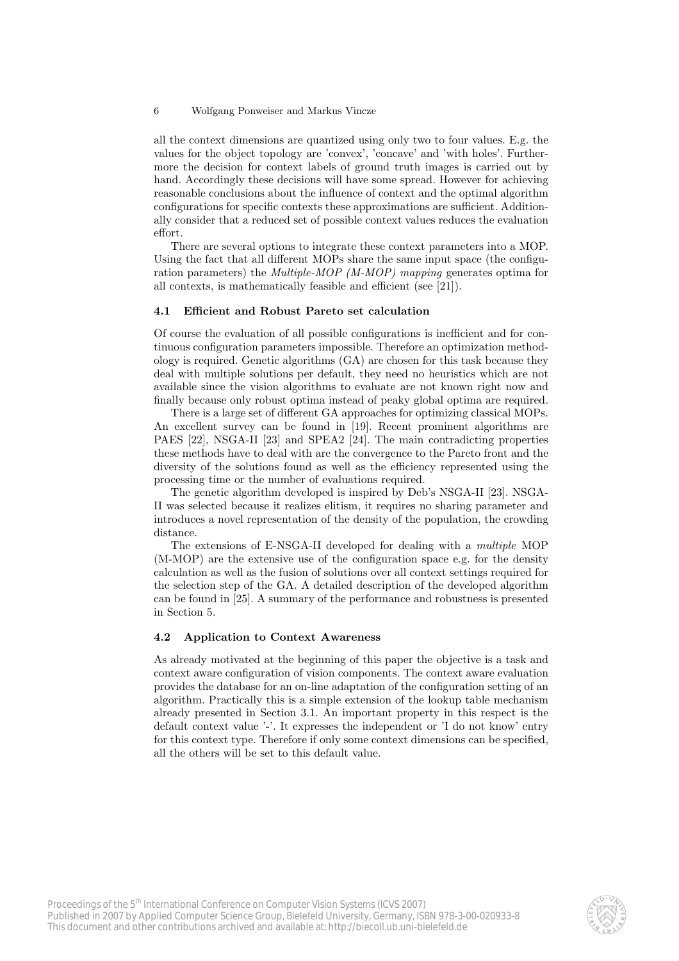#### 6 Wolfgang Ponweiser and Markus Vincze

all the context dimensions are quantized using only two to four values. E.g. the values for the object topology are 'convex', 'concave' and 'with holes'. Furthermore the decision for context labels of ground truth images is carried out by hand. Accordingly these decisions will have some spread. However for achieving reasonable conclusions about the influence of context and the optimal algorithm configurations for specific contexts these approximations are sufficient. Additionally consider that a reduced set of possible context values reduces the evaluation effort.

There are several options to integrate these context parameters into a MOP. Using the fact that all different MOPs share the same input space (the configuration parameters) the *Multiple-MOP* (*M-MOP*) mapping generates optima for all contexts, is mathematically feasible and efficient (see [21]).

#### 4.1 Efficient and Robust Pareto set calculation

Of course the evaluation of all possible configurations is inefficient and for continuous configuration parameters impossible. Therefore an optimization methodology is required. Genetic algorithms (GA) are chosen for this task because they deal with multiple solutions per default, they need no heuristics which are not available since the vision algorithms to evaluate are not known right now and finally because only robust optima instead of peaky global optima are required.

There is a large set of different GA approaches for optimizing classical MOPs. An excellent survey can be found in [19]. Recent prominent algorithms are PAES [22], NSGA-II [23] and SPEA2 [24]. The main contradicting properties these methods have to deal with are the convergence to the Pareto front and the diversity of the solutions found as well as the efficiency represented using the processing time or the number of evaluations required.

The genetic algorithm developed is inspired by Deb's NSGA-II [23]. NSGA-II was selected because it realizes elitism, it requires no sharing parameter and introduces a novel representation of the density of the population, the crowding distance.

The extensions of E-NSGA-II developed for dealing with a multiple MOP (M-MOP) are the extensive use of the configuration space e.g. for the density calculation as well as the fusion of solutions over all context settings required for the selection step of the GA. A detailed description of the developed algorithm can be found in [25]. A summary of the performance and robustness is presented in Section 5.

## 4.2 Application to Context Awareness

As already motivated at the beginning of this paper the objective is a task and context aware configuration of vision components. The context aware evaluation provides the database for an on-line adaptation of the configuration setting of an algorithm. Practically this is a simple extension of the lookup table mechanism already presented in Section 3.1. An important property in this respect is the default context value '-'. It expresses the independent or 'I do not know' entry for this context type. Therefore if only some context dimensions can be specified, all the others will be set to this default value.

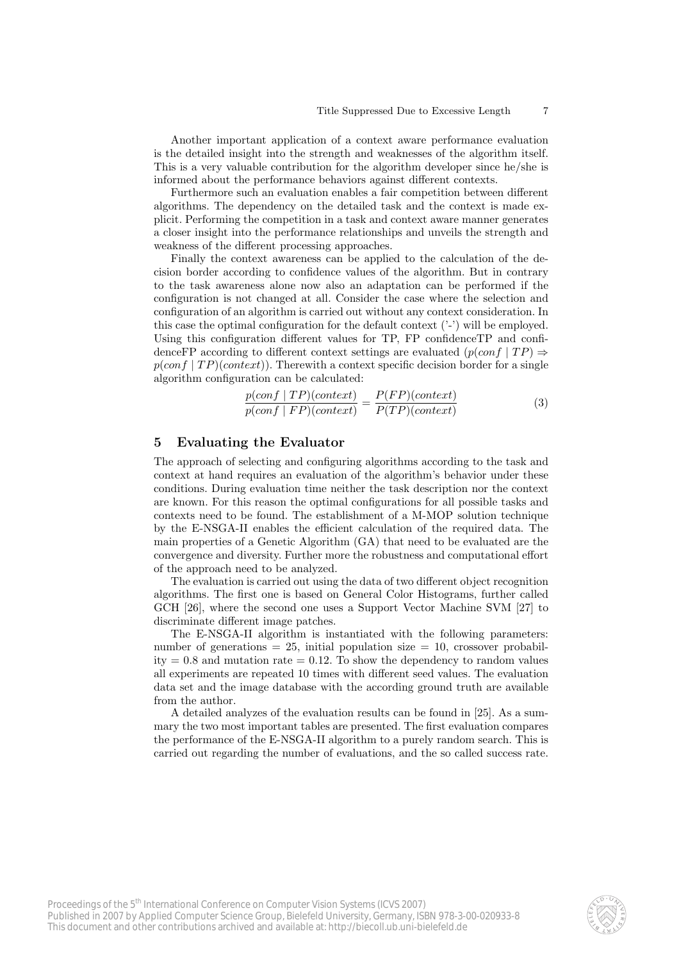Another important application of a context aware performance evaluation is the detailed insight into the strength and weaknesses of the algorithm itself. This is a very valuable contribution for the algorithm developer since he/she is informed about the performance behaviors against different contexts.

Furthermore such an evaluation enables a fair competition between different algorithms. The dependency on the detailed task and the context is made explicit. Performing the competition in a task and context aware manner generates a closer insight into the performance relationships and unveils the strength and weakness of the different processing approaches.

Finally the context awareness can be applied to the calculation of the decision border according to confidence values of the algorithm. But in contrary to the task awareness alone now also an adaptation can be performed if the configuration is not changed at all. Consider the case where the selection and configuration of an algorithm is carried out without any context consideration. In this case the optimal configuration for the default context ('-') will be employed. Using this configuration different values for TP, FP confidenceTP and confidenceFP according to different context settings are evaluated  $(p(conf | TP) \Rightarrow$  $p(conf | TP)(context)$ . Therewith a context specific decision border for a single algorithm configuration can be calculated:

$$
\frac{p(conf | TP)(context)}{p(conf | FP)(context)} = \frac{P(FP)(context)}{P(TP)(context)}\tag{3}
$$

# 5 Evaluating the Evaluator

The approach of selecting and configuring algorithms according to the task and context at hand requires an evaluation of the algorithm's behavior under these conditions. During evaluation time neither the task description nor the context are known. For this reason the optimal configurations for all possible tasks and contexts need to be found. The establishment of a M-MOP solution technique by the E-NSGA-II enables the efficient calculation of the required data. The main properties of a Genetic Algorithm (GA) that need to be evaluated are the convergence and diversity. Further more the robustness and computational effort of the approach need to be analyzed.

The evaluation is carried out using the data of two different object recognition algorithms. The first one is based on General Color Histograms, further called GCH [26], where the second one uses a Support Vector Machine SVM [27] to discriminate different image patches.

The E-NSGA-II algorithm is instantiated with the following parameters: number of generations  $= 25$ , initial population size  $= 10$ , crossover probability  $= 0.8$  and mutation rate  $= 0.12$ . To show the dependency to random values all experiments are repeated 10 times with different seed values. The evaluation data set and the image database with the according ground truth are available from the author.

A detailed analyzes of the evaluation results can be found in [25]. As a summary the two most important tables are presented. The first evaluation compares the performance of the E-NSGA-II algorithm to a purely random search. This is carried out regarding the number of evaluations, and the so called success rate.

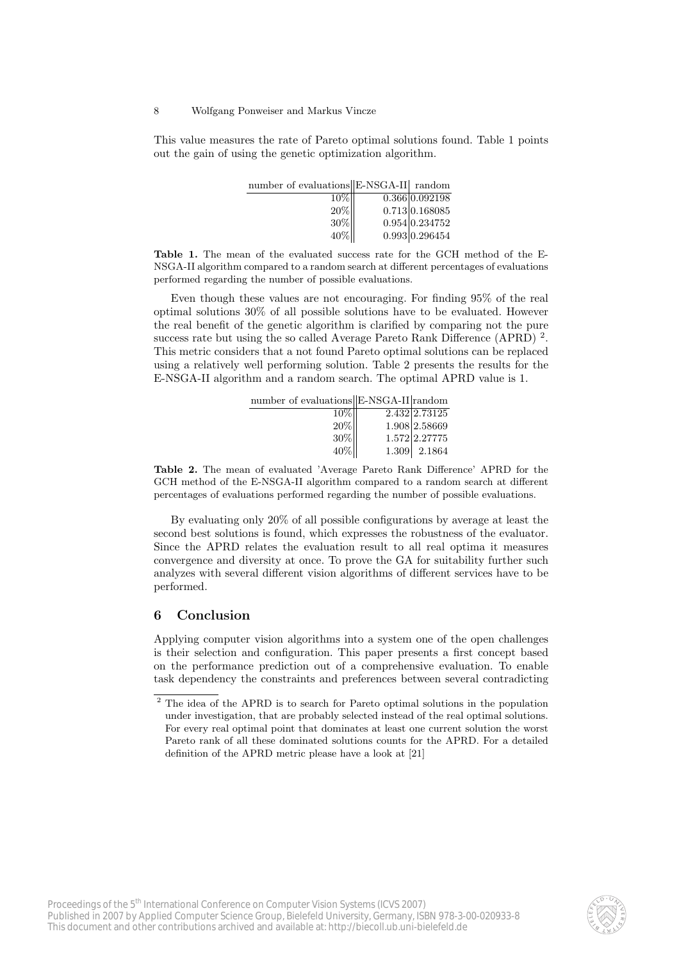#### 8 Wolfgang Ponweiser and Markus Vincze

This value measures the rate of Pareto optimal solutions found. Table 1 points out the gain of using the genetic optimization algorithm.

| number of evaluations E-NSGA-II random |                |
|----------------------------------------|----------------|
| $10\%$                                 | 0.366 0.092198 |
| 20%                                    | 0.713 0.168085 |
| 30%                                    | 0.954 0.234752 |
| 40%                                    | 0.993 0.296454 |

Table 1. The mean of the evaluated success rate for the GCH method of the E-NSGA-II algorithm compared to a random search at different percentages of evaluations performed regarding the number of possible evaluations.

Even though these values are not encouraging. For finding 95% of the real optimal solutions 30% of all possible solutions have to be evaluated. However the real benefit of the genetic algorithm is clarified by comparing not the pure success rate but using the so called Average Pareto Rank Difference (APRD)<sup>2</sup>. This metric considers that a not found Pareto optimal solutions can be replaced using a relatively well performing solution. Table 2 presents the results for the E-NSGA-II algorithm and a random search. The optimal APRD value is 1.

| number of evaluations E-NSGA-II random |               |
|----------------------------------------|---------------|
| 10%                                    | 2.432 2.73125 |
| 20%                                    | 1.908 2.58669 |
| $30\%$                                 | 1.572 2.27775 |
| 40%                                    | 1.309 2.1864  |

Table 2. The mean of evaluated 'Average Pareto Rank Difference' APRD for the GCH method of the E-NSGA-II algorithm compared to a random search at different percentages of evaluations performed regarding the number of possible evaluations.

By evaluating only 20% of all possible configurations by average at least the second best solutions is found, which expresses the robustness of the evaluator. Since the APRD relates the evaluation result to all real optima it measures convergence and diversity at once. To prove the GA for suitability further such analyzes with several different vision algorithms of different services have to be performed.

# 6 Conclusion

Applying computer vision algorithms into a system one of the open challenges is their selection and configuration. This paper presents a first concept based on the performance prediction out of a comprehensive evaluation. To enable task dependency the constraints and preferences between several contradicting



<sup>&</sup>lt;sup>2</sup> The idea of the APRD is to search for Pareto optimal solutions in the population under investigation, that are probably selected instead of the real optimal solutions. For every real optimal point that dominates at least one current solution the worst Pareto rank of all these dominated solutions counts for the APRD. For a detailed definition of the APRD metric please have a look at [21]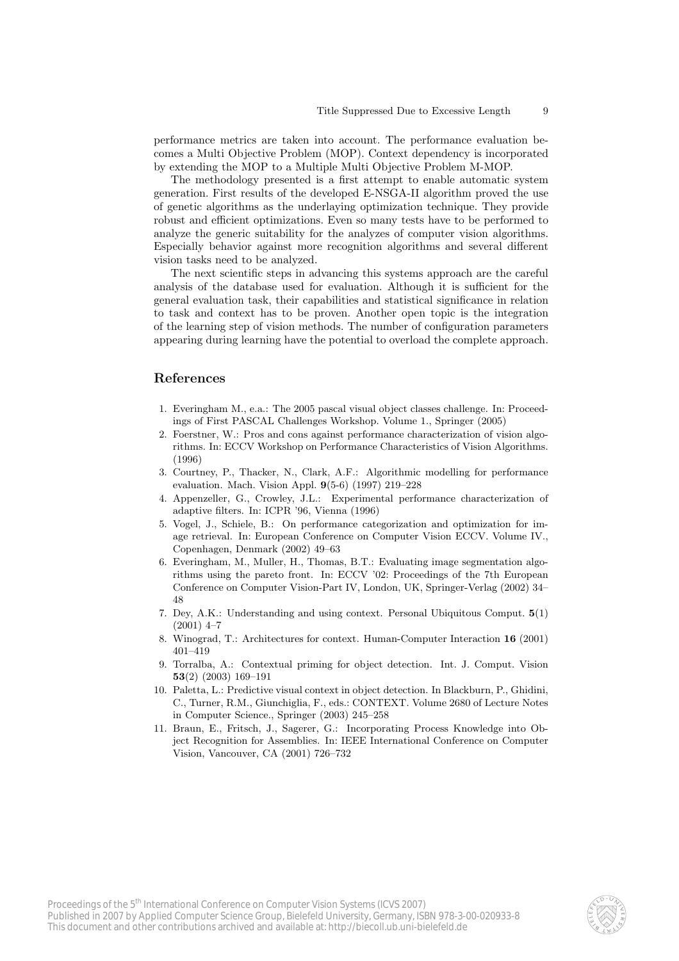performance metrics are taken into account. The performance evaluation becomes a Multi Objective Problem (MOP). Context dependency is incorporated by extending the MOP to a Multiple Multi Objective Problem M-MOP.

The methodology presented is a first attempt to enable automatic system generation. First results of the developed E-NSGA-II algorithm proved the use of genetic algorithms as the underlaying optimization technique. They provide robust and efficient optimizations. Even so many tests have to be performed to analyze the generic suitability for the analyzes of computer vision algorithms. Especially behavior against more recognition algorithms and several different vision tasks need to be analyzed.

The next scientific steps in advancing this systems approach are the careful analysis of the database used for evaluation. Although it is sufficient for the general evaluation task, their capabilities and statistical significance in relation to task and context has to be proven. Another open topic is the integration of the learning step of vision methods. The number of configuration parameters appearing during learning have the potential to overload the complete approach.

# References

- 1. Everingham M., e.a.: The 2005 pascal visual object classes challenge. In: Proceedings of First PASCAL Challenges Workshop. Volume 1., Springer (2005)
- 2. Foerstner, W.: Pros and cons against performance characterization of vision algorithms. In: ECCV Workshop on Performance Characteristics of Vision Algorithms. (1996)
- 3. Courtney, P., Thacker, N., Clark, A.F.: Algorithmic modelling for performance evaluation. Mach. Vision Appl. 9(5-6) (1997) 219–228
- 4. Appenzeller, G., Crowley, J.L.: Experimental performance characterization of adaptive filters. In: ICPR '96, Vienna (1996)
- 5. Vogel, J., Schiele, B.: On performance categorization and optimization for image retrieval. In: European Conference on Computer Vision ECCV. Volume IV., Copenhagen, Denmark (2002) 49–63
- 6. Everingham, M., Muller, H., Thomas, B.T.: Evaluating image segmentation algorithms using the pareto front. In: ECCV '02: Proceedings of the 7th European Conference on Computer Vision-Part IV, London, UK, Springer-Verlag (2002) 34– 48
- 7. Dey, A.K.: Understanding and using context. Personal Ubiquitous Comput. 5(1)  $(2001)$  4–7
- 8. Winograd, T.: Architectures for context. Human-Computer Interaction 16 (2001) 401–419
- 9. Torralba, A.: Contextual priming for object detection. Int. J. Comput. Vision 53(2) (2003) 169–191
- 10. Paletta, L.: Predictive visual context in object detection. In Blackburn, P., Ghidini, C., Turner, R.M., Giunchiglia, F., eds.: CONTEXT. Volume 2680 of Lecture Notes in Computer Science., Springer (2003) 245–258
- 11. Braun, E., Fritsch, J., Sagerer, G.: Incorporating Process Knowledge into Object Recognition for Assemblies. In: IEEE International Conference on Computer Vision, Vancouver, CA (2001) 726–732